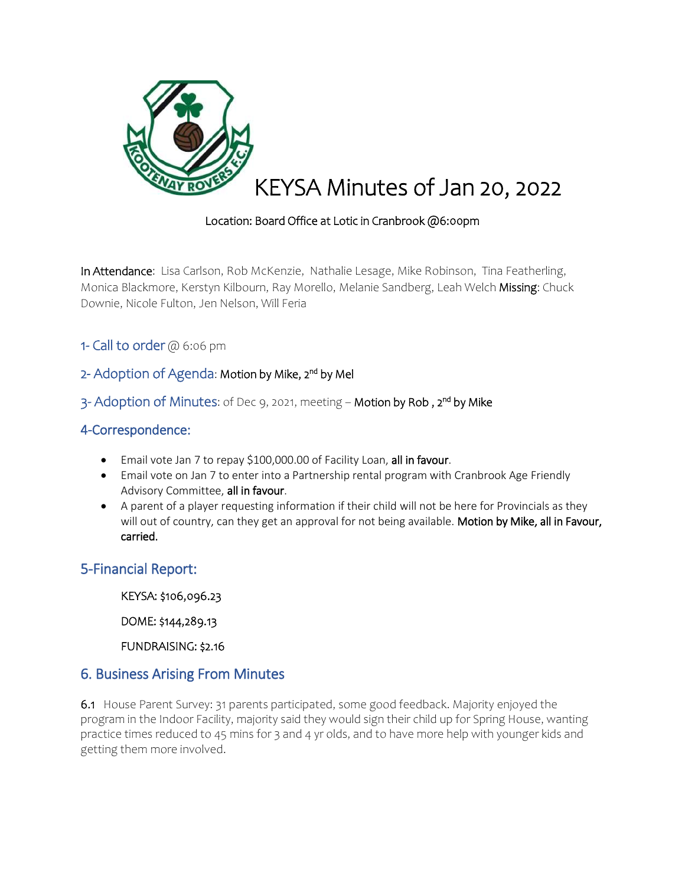

#### Location: Board Office at Lotic in Cranbrook @6:00pm

In Attendance: Lisa Carlson, Rob McKenzie, Nathalie Lesage, Mike Robinson, Tina Featherling, Monica Blackmore, Kerstyn Kilbourn, Ray Morello, Melanie Sandberg, Leah Welch Missing: Chuck Downie, Nicole Fulton, Jen Nelson, Will Feria

1- Call to order @ 6:06 pm

## 2- Adoption of Agenda: Motion by Mike, 2<sup>nd</sup> by Mel

3- Adoption of Minutes: of Dec 9, 2021, meeting – Motion by Rob , 2<sup>nd</sup> by Mike

## 4-Correspondence:

- **Email vote Jan 7 to repay \$100,000.00 of Facility Loan, all in favour.**
- Email vote on Jan 7 to enter into a Partnership rental program with Cranbrook Age Friendly Advisory Committee, all in favour.
- A parent of a player requesting information if their child will not be here for Provincials as they will out of country, can they get an approval for not being available. Motion by Mike, all in Favour, carried.

## 5-Financial Report:

KEYSA: \$106,096.23

DOME: \$144,289.13

FUNDRAISING: \$2.16

## 6. Business Arising From Minutes

6.1House Parent Survey: 31 parents participated, some good feedback. Majority enjoyed the program in the Indoor Facility, majority said they would sign their child up for Spring House, wanting practice times reduced to 45 mins for 3 and 4 yr olds, and to have more help with younger kids and getting them more involved.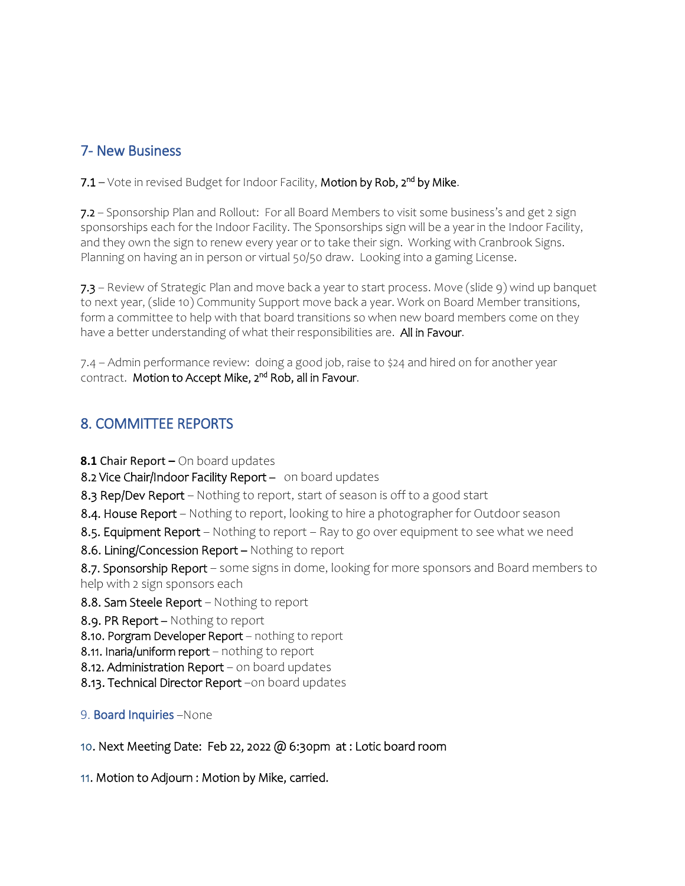# 7- New Business

7.1 – Vote in revised Budget for Indoor Facility, Motion by Rob, 2<sup>nd</sup> by Mike.

7.2 – Sponsorship Plan and Rollout: For all Board Members to visit some business's and get 2 sign sponsorships each for the Indoor Facility. The Sponsorships sign will be a year in the Indoor Facility, and they own the sign to renew every year or to take their sign. Working with Cranbrook Signs. Planning on having an in person or virtual 50/50 draw. Looking into a gaming License.

7.3 – Review of Strategic Plan and move back a year to start process. Move (slide 9) wind up banquet to next year, (slide 10) Community Support move back a year. Work on Board Member transitions, form a committee to help with that board transitions so when new board members come on they have a better understanding of what their responsibilities are. All in Favour.

7.4 – Admin performance review: doing a good job, raise to \$24 and hired on for another year contract. Motion to Accept Mike, 2<sup>nd</sup> Rob, all in Favour.

# 8. COMMITTEE REPORTS

**8.1** Chair Report **–** On board updates

8.2 Vice Chair/Indoor Facility Report - on board updates

8.3 Rep/Dev Report – Nothing to report, start of season is off to a good start

- 8.4. House Report Nothing to report, looking to hire a photographer for Outdoor season
- 8.5. Equipment Report Nothing to report Ray to go over equipment to see what we need

8.6. Lining/Concession Report - Nothing to report

8.7. Sponsorship Report – some signs in dome, looking for more sponsors and Board members to help with 2 sign sponsors each

8.8. Sam Steele Report – Nothing to report

8.9. PR Report – Nothing to report

8.10. Porgram Developer Report - nothing to report

8.11. Inaria/uniform report - nothing to report

- 8.12. Administration Report on board updates
- 8.13. Technical Director Report -on board updates

#### 9. Board Inquiries –None

## 10. Next Meeting Date: Feb 22, 2022 @ 6:30pm at : Lotic board room

11. Motion to Adjourn : Motion by Mike, carried.